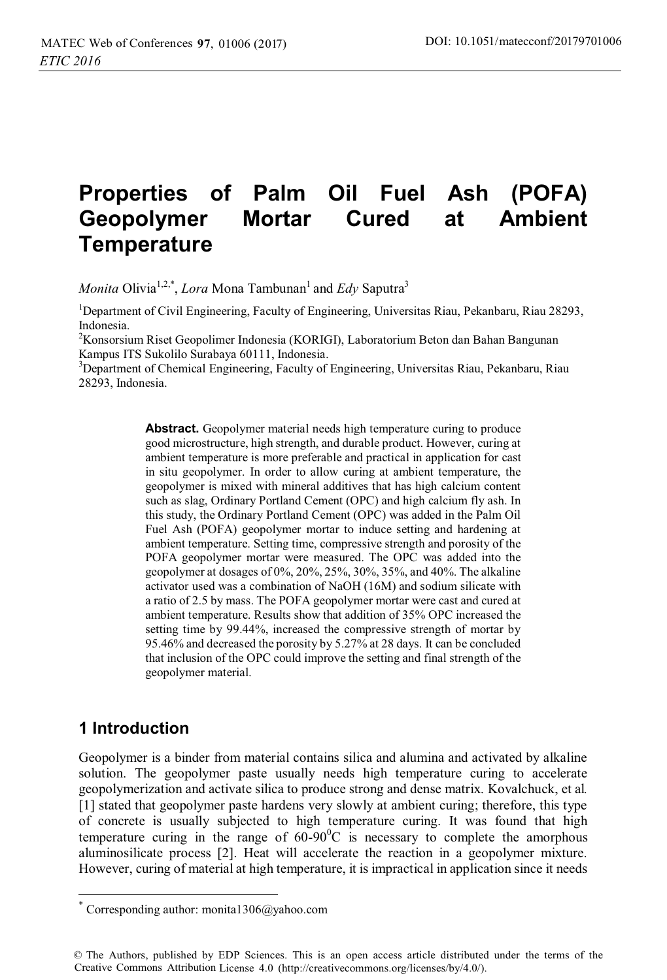# **Properties of Palm Oil Fuel Ash (POFA) Geopolymer Mortar Cured at Ambient Temperature**

*Monita* Olivia<sup>1,2,\*</sup>, *Lora* Mona Tambunan<sup>1</sup> and *Edy* Saputra<sup>3</sup>

<sup>1</sup>Department of Civil Engineering, Faculty of Engineering, Universitas Riau, Pekanbaru, Riau 28293, Indonesia.

<sup>2</sup> Konsorsium Riset Geopolimer Indonesia (KORIGI), Laboratorium Beton dan Bahan Bangunan Kampus ITS Sukolilo Surabaya 60111, Indonesia.

<sup>3</sup>Department of Chemical Engineering, Faculty of Engineering, Universitas Riau, Pekanbaru, Riau 28293, Indonesia.

> **Abstract.** Geopolymer material needs high temperature curing to produce good microstructure, high strength, and durable product. However, curing at ambient temperature is more preferable and practical in application for cast in situ geopolymer. In order to allow curing at ambient temperature, the geopolymer is mixed with mineral additives that has high calcium content such as slag, Ordinary Portland Cement (OPC) and high calcium fly ash. In this study, the Ordinary Portland Cement (OPC) was added in the Palm Oil Fuel Ash (POFA) geopolymer mortar to induce setting and hardening at ambient temperature. Setting time, compressive strength and porosity of the POFA geopolymer mortar were measured. The OPC was added into the geopolymer at dosages of 0%, 20%, 25%, 30%, 35%, and 40%. The alkaline activator used was a combination of NaOH (16M) and sodium silicate with a ratio of 2.5 by mass. The POFA geopolymer mortar were cast and cured at ambient temperature. Results show that addition of 35% OPC increased the setting time by 99.44%, increased the compressive strength of mortar by 95.46% and decreased the porosity by 5.27% at 28 days. It can be concluded that inclusion of the OPC could improve the setting and final strength of the geopolymer material.

# **1 Introduction**

 $\overline{a}$ 

Geopolymer is a binder from material contains silica and alumina and activated by alkaline solution. The geopolymer paste usually needs high temperature curing to accelerate geopolymerization and activate silica to produce strong and dense matrix. Kovalchuck, et al*.* [1] stated that geopolymer paste hardens very slowly at ambient curing; therefore, this type of concrete is usually subjected to high temperature curing. It was found that high temperature curing in the range of  $60-90^{\circ}$ C is necessary to complete the amorphous aluminosilicate process [2]. Heat will accelerate the reaction in a geopolymer mixture. However, curing of material at high temperature, it is impractical in application since it needs

Corresponding author: monita1306@yahoo.com

<sup>©</sup> The Authors, published by EDP Sciences. This is an open access article distributed under the terms of the Creative Commons Attribution License 4.0 (http://creativecommons.org/licenses/by/4.0/).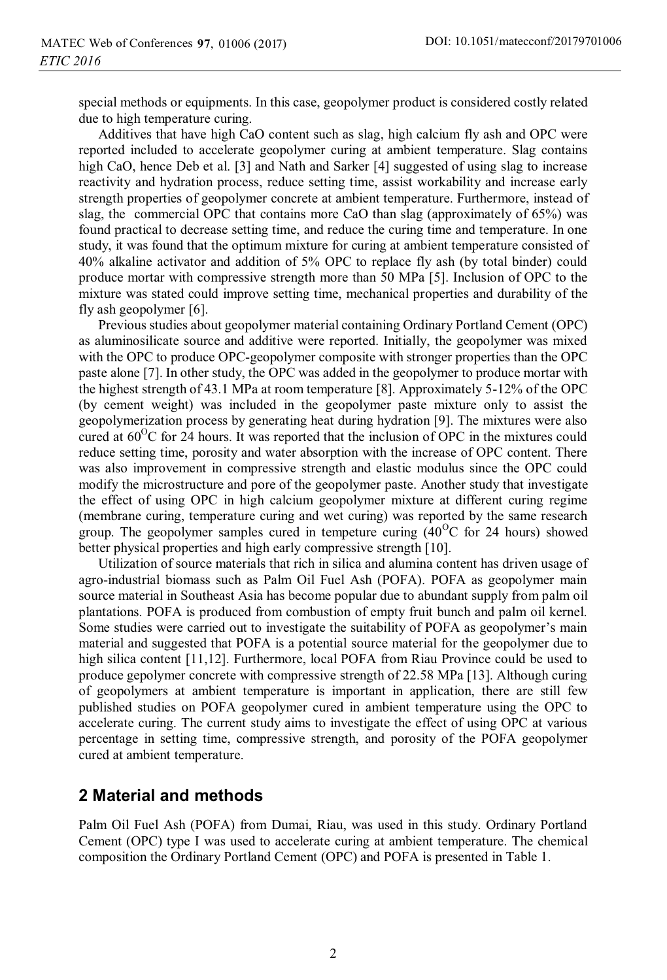special methods or equipments. In this case, geopolymer product is considered costly related due to high temperature curing.

Additives that have high CaO content such as slag, high calcium fly ash and OPC were reported included to accelerate geopolymer curing at ambient temperature. Slag contains high CaO, hence Deb et al. [3] and Nath and Sarker [4] suggested of using slag to increase reactivity and hydration process, reduce setting time, assist workability and increase early strength properties of geopolymer concrete at ambient temperature. Furthermore, instead of slag, the commercial OPC that contains more CaO than slag (approximately of 65%) was found practical to decrease setting time, and reduce the curing time and temperature. In one study, it was found that the optimum mixture for curing at ambient temperature consisted of 40% alkaline activator and addition of 5% OPC to replace fly ash (by total binder) could produce mortar with compressive strength more than 50 MPa [5]. Inclusion of OPC to the mixture was stated could improve setting time, mechanical properties and durability of the fly ash geopolymer [6].

Previous studies about geopolymer material containing Ordinary Portland Cement (OPC) as aluminosilicate source and additive were reported. Initially, the geopolymer was mixed with the OPC to produce OPC-geopolymer composite with stronger properties than the OPC paste alone [7]. In other study, the OPC was added in the geopolymer to produce mortar with the highest strength of 43.1 MPa at room temperature [8]. Approximately 5-12% of the OPC (by cement weight) was included in the geopolymer paste mixture only to assist the geopolymerization process by generating heat during hydration [9]. The mixtures were also cured at  $60^{\circ}$ C for 24 hours. It was reported that the inclusion of OPC in the mixtures could reduce setting time, porosity and water absorption with the increase of OPC content. There was also improvement in compressive strength and elastic modulus since the OPC could modify the microstructure and pore of the geopolymer paste. Another study that investigate the effect of using OPC in high calcium geopolymer mixture at different curing regime (membrane curing, temperature curing and wet curing) was reported by the same research group. The geopolymer samples cured in tempeture curing  $(40^{\circ}C)$  for 24 hours) showed better physical properties and high early compressive strength [10].

Utilization of source materials that rich in silica and alumina content has driven usage of agro-industrial biomass such as Palm Oil Fuel Ash (POFA). POFA as geopolymer main source material in Southeast Asia has become popular due to abundant supply from palm oil plantations. POFA is produced from combustion of empty fruit bunch and palm oil kernel. Some studies were carried out to investigate the suitability of POFA as geopolymer's main material and suggested that POFA is a potential source material for the geopolymer due to high silica content [11,12]. Furthermore, local POFA from Riau Province could be used to produce gepolymer concrete with compressive strength of 22.58 MPa [13]. Although curing of geopolymers at ambient temperature is important in application, there are still few published studies on POFA geopolymer cured in ambient temperature using the OPC to accelerate curing. The current study aims to investigate the effect of using OPC at various percentage in setting time, compressive strength, and porosity of the POFA geopolymer cured at ambient temperature.

# **2 Material and methods**

Palm Oil Fuel Ash (POFA) from Dumai, Riau, was used in this study. Ordinary Portland Cement (OPC) type I was used to accelerate curing at ambient temperature. The chemical composition the Ordinary Portland Cement (OPC) and POFA is presented in Table 1.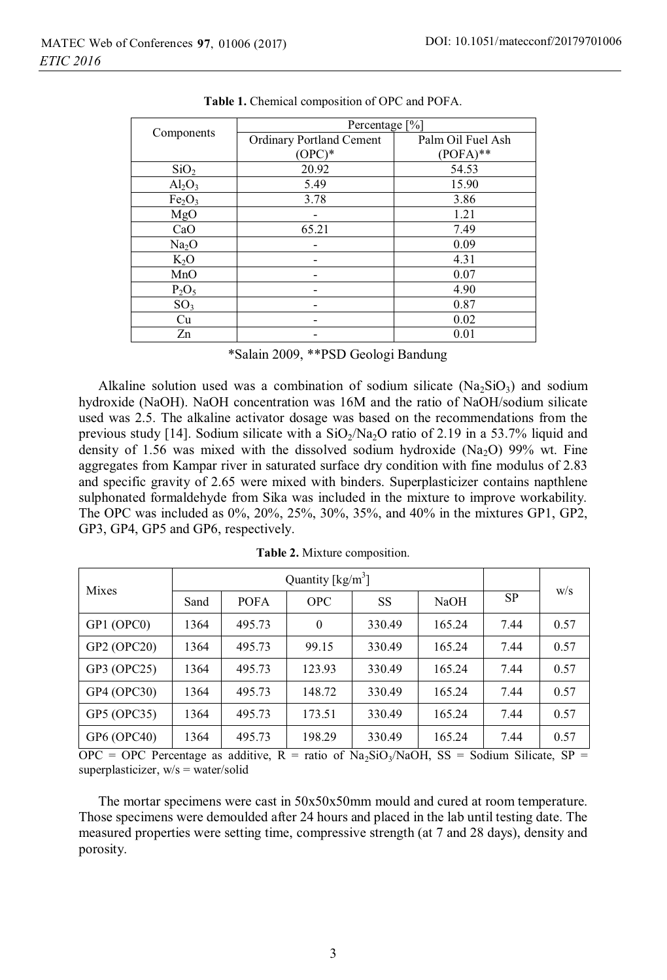|                                | Percentage [%]                  |                   |  |  |
|--------------------------------|---------------------------------|-------------------|--|--|
| Components                     | <b>Ordinary Portland Cement</b> | Palm Oil Fuel Ash |  |  |
|                                | $(OPC)*$                        | $(POFA)**$        |  |  |
| SiO <sub>2</sub>               | 20.92                           | 54.53             |  |  |
| $\text{Al}_2\text{O}_3$        | 5.49                            | 15.90             |  |  |
| Fe <sub>2</sub> O <sub>3</sub> | 3.78                            | 3.86              |  |  |
| MgO                            |                                 | 1.21              |  |  |
| CaO                            | 65.21                           | 7.49              |  |  |
| Na <sub>2</sub> O              |                                 | 0.09              |  |  |
| $K_2O$                         |                                 | 4.31              |  |  |
| MnO                            |                                 | 0.07              |  |  |
| $P_2O_5$                       |                                 | 4.90              |  |  |
| SO <sub>3</sub>                |                                 | 0.87              |  |  |
| Cu                             |                                 | 0.02              |  |  |
| Zn                             |                                 | 0.01              |  |  |

**Table 1.** Chemical composition of OPC and POFA.

\*Salain 2009, \*\*PSD Geologi Bandung

Alkaline solution used was a combination of sodium silicate  $(Na_2SiO_3)$  and sodium hydroxide (NaOH). NaOH concentration was 16M and the ratio of NaOH/sodium silicate used was 2.5. The alkaline activator dosage was based on the recommendations from the previous study [14]. Sodium silicate with a  $SiO<sub>2</sub>/Na<sub>2</sub>O$  ratio of 2.19 in a 53.7% liquid and density of 1.56 was mixed with the dissolved sodium hydroxide (Na<sub>2</sub>O) 99% wt. Fine aggregates from Kampar river in saturated surface dry condition with fine modulus of 2.83 and specific gravity of 2.65 were mixed with binders. Superplasticizer contains napthlene sulphonated formaldehyde from Sika was included in the mixture to improve workability. The OPC was included as 0%, 20%, 25%, 30%, 35%, and 40% in the mixtures GP1, GP2, GP3, GP4, GP5 and GP6, respectively.

| Mixes       | Quantity $[kg/m^3]$ |             |            |        |        |           | W/S  |
|-------------|---------------------|-------------|------------|--------|--------|-----------|------|
|             | Sand                | <b>POFA</b> | <b>OPC</b> | SS     | NaOH   | <b>SP</b> |      |
| GP1 (OPC0)  | 1364                | 495.73      | $\Omega$   | 330.49 | 165.24 | 7.44      | 0.57 |
| GP2 (OPC20) | 1364                | 495.73      | 99.15      | 330.49 | 165.24 | 7.44      | 0.57 |
| GP3 (OPC25) | 1364                | 495.73      | 123.93     | 330.49 | 165.24 | 7.44      | 0.57 |
| GP4 (OPC30) | 1364                | 495.73      | 148.72     | 330.49 | 165.24 | 7.44      | 0.57 |
| GP5 (OPC35) | 1364                | 495.73      | 173.51     | 330.49 | 165.24 | 7.44      | 0.57 |
| GP6 (OPC40) | 1364                | 495.73      | 198.29     | 330.49 | 165.24 | 7.44      | 0.57 |

**Table 2.** Mixture composition.

OPC = OPC Percentage as additive,  $R = \text{ratio of Na}_2\text{SiO}_3/\text{NaOH}$ ,  $SS = \text{Sodium Silicate}$ ,  $SP =$ superplasticizer, w/s = water/solid

The mortar specimens were cast in 50x50x50mm mould and cured at room temperature. Those specimens were demoulded after 24 hours and placed in the lab until testing date. The measured properties were setting time, compressive strength (at 7 and 28 days), density and porosity.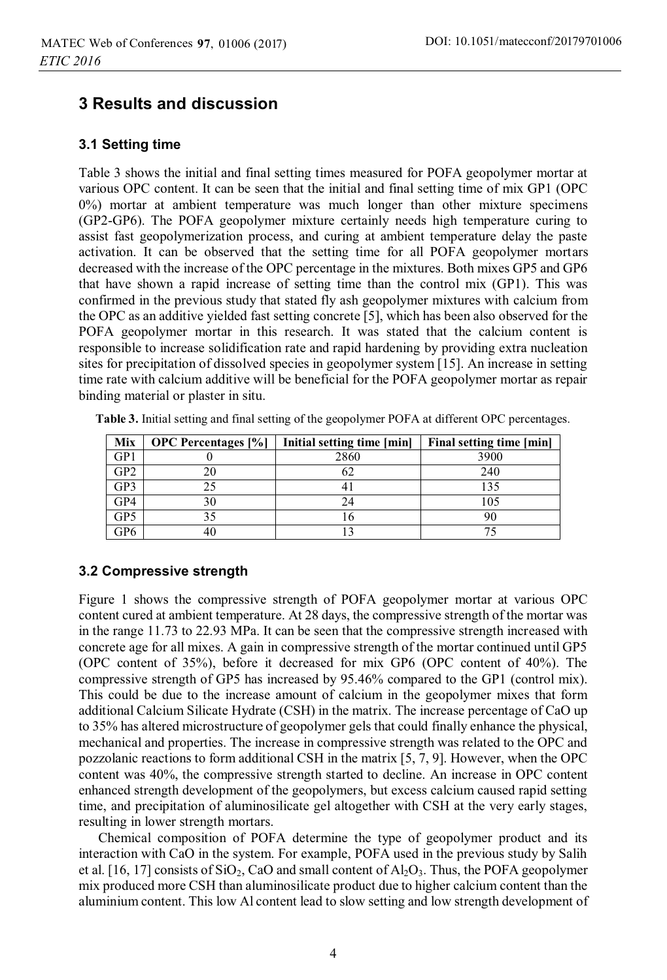# **3 Results and discussion**

#### **3.1 Setting time**

Table 3 shows the initial and final setting times measured for POFA geopolymer mortar at various OPC content. It can be seen that the initial and final setting time of mix GP1 (OPC 0%) mortar at ambient temperature was much longer than other mixture specimens (GP2-GP6). The POFA geopolymer mixture certainly needs high temperature curing to assist fast geopolymerization process, and curing at ambient temperature delay the paste activation. It can be observed that the setting time for all POFA geopolymer mortars decreased with the increase of the OPC percentage in the mixtures. Both mixes GP5 and GP6 that have shown a rapid increase of setting time than the control mix (GP1). This was confirmed in the previous study that stated fly ash geopolymer mixtures with calcium from the OPC as an additive yielded fast setting concrete [5], which has been also observed for the POFA geopolymer mortar in this research. It was stated that the calcium content is responsible to increase solidification rate and rapid hardening by providing extra nucleation sites for precipitation of dissolved species in geopolymer system [15]. An increase in setting time rate with calcium additive will be beneficial for the POFA geopolymer mortar as repair binding material or plaster in situ.

| Mix | <b>OPC</b> Percentages [%] | Initial setting time [min] | Final setting time [min] |
|-----|----------------------------|----------------------------|--------------------------|
| GP1 |                            | 2860                       | 3900                     |
| GP2 |                            |                            | 240                      |
| GP3 |                            |                            | 135                      |
| GP4 | 30                         | 24                         | 105                      |
| GP5 |                            |                            |                          |
| GP6 |                            |                            |                          |

Table 3. Initial setting and final setting of the geopolymer POFA at different OPC percentages.

### **3.2 Compressive strength**

Figure 1 shows the compressive strength of POFA geopolymer mortar at various OPC content cured at ambient temperature. At 28 days, the compressive strength of the mortar was in the range 11.73 to 22.93 MPa. It can be seen that the compressive strength increased with concrete age for all mixes. A gain in compressive strength of the mortar continued until GP5 (OPC content of 35%), before it decreased for mix GP6 (OPC content of 40%). The compressive strength of GP5 has increased by 95.46% compared to the GP1 (control mix). This could be due to the increase amount of calcium in the geopolymer mixes that form additional Calcium Silicate Hydrate (CSH) in the matrix. The increase percentage of CaO up to 35% has altered microstructure of geopolymer gels that could finally enhance the physical, mechanical and properties. The increase in compressive strength was related to the OPC and pozzolanic reactions to form additional CSH in the matrix [5, 7, 9]. However, when the OPC content was 40%, the compressive strength started to decline. An increase in OPC content enhanced strength development of the geopolymers, but excess calcium caused rapid setting time, and precipitation of aluminosilicate gel altogether with CSH at the very early stages, resulting in lower strength mortars.

Chemical composition of POFA determine the type of geopolymer product and its interaction with CaO in the system. For example, POFA used in the previous study by Salih et al. [16, 17] consists of  $SiO<sub>2</sub>$ , CaO and small content of  $Al<sub>2</sub>O<sub>3</sub>$ . Thus, the POFA geopolymer mix produced more CSH than aluminosilicate product due to higher calcium content than the aluminium content. This low Al content lead to slow setting and low strength development of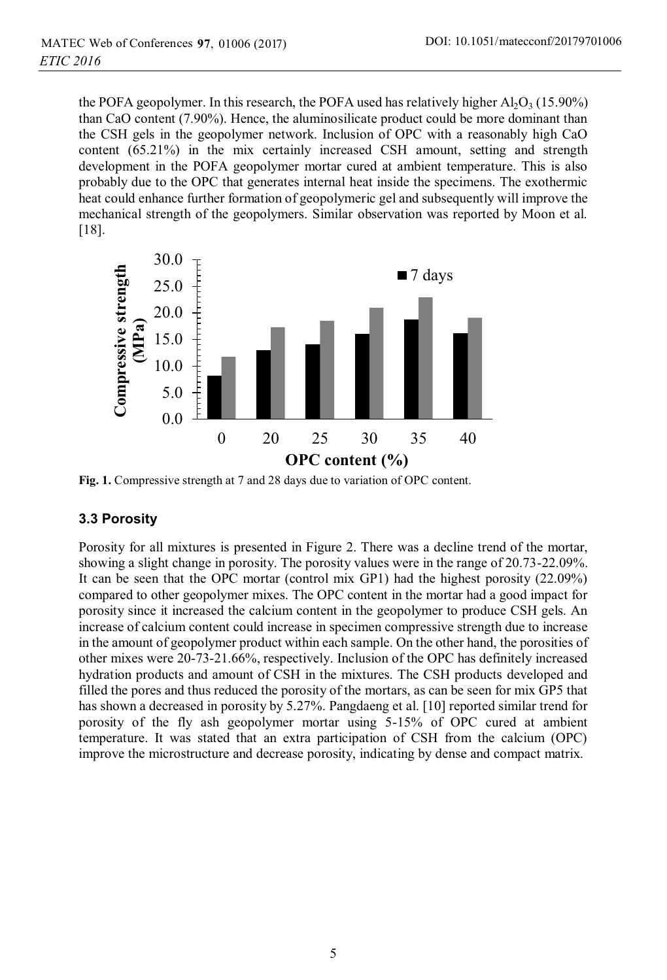the POFA geopolymer. In this research, the POFA used has relatively higher  $A_1O_3$  (15.90%) than CaO content (7.90%). Hence, the aluminosilicate product could be more dominant than the CSH gels in the geopolymer network. Inclusion of OPC with a reasonably high CaO content (65.21%) in the mix certainly increased CSH amount, setting and strength development in the POFA geopolymer mortar cured at ambient temperature. This is also probably due to the OPC that generates internal heat inside the specimens. The exothermic heat could enhance further formation of geopolymeric gel and subsequently will improve the mechanical strength of the geopolymers. Similar observation was reported by Moon et al. [18].



**Fig. 1.** Compressive strength at 7 and 28 days due to variation of OPC content.

#### **3.3 Porosity**

Porosity for all mixtures is presented in Figure 2. There was a decline trend of the mortar, showing a slight change in porosity. The porosity values were in the range of 20.73-22.09%. It can be seen that the OPC mortar (control mix GP1) had the highest porosity (22.09%) compared to other geopolymer mixes. The OPC content in the mortar had a good impact for porosity since it increased the calcium content in the geopolymer to produce CSH gels. An increase of calcium content could increase in specimen compressive strength due to increase in the amount of geopolymer product within each sample. On the other hand, the porosities of other mixes were 20-73-21.66%, respectively. Inclusion of the OPC has definitely increased hydration products and amount of CSH in the mixtures. The CSH products developed and filled the pores and thus reduced the porosity of the mortars, as can be seen for mix GP5 that has shown a decreased in porosity by 5.27%. Pangdaeng et al. [10] reported similar trend for porosity of the fly ash geopolymer mortar using 5-15% of OPC cured at ambient temperature. It was stated that an extra participation of CSH from the calcium (OPC) improve the microstructure and decrease porosity, indicating by dense and compact matrix.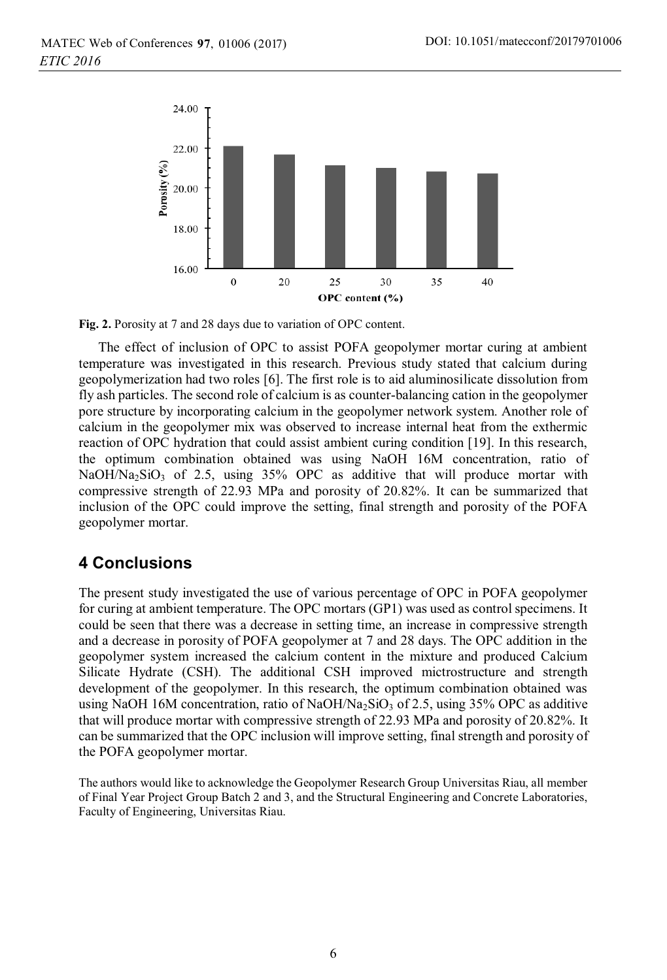

**Fig. 2.** Porosity at 7 and 28 days due to variation of OPC content.

The effect of inclusion of OPC to assist POFA geopolymer mortar curing at ambient temperature was investigated in this research. Previous study stated that calcium during geopolymerization had two roles [6]. The first role is to aid aluminosilicate dissolution from fly ash particles. The second role of calcium is as counter-balancing cation in the geopolymer pore structure by incorporating calcium in the geopolymer network system. Another role of calcium in the geopolymer mix was observed to increase internal heat from the exthermic reaction of OPC hydration that could assist ambient curing condition [19]. In this research, the optimum combination obtained was using NaOH 16M concentration, ratio of NaOH/Na<sub>2</sub>SiO<sub>3</sub> of 2.5, using  $35\%$  OPC as additive that will produce mortar with compressive strength of 22.93 MPa and porosity of 20.82%. It can be summarized that inclusion of the OPC could improve the setting, final strength and porosity of the POFA geopolymer mortar.

# **4 Conclusions**

The present study investigated the use of various percentage of OPC in POFA geopolymer for curing at ambient temperature. The OPC mortars (GP1) was used as control specimens. It could be seen that there was a decrease in setting time, an increase in compressive strength and a decrease in porosity of POFA geopolymer at 7 and 28 days. The OPC addition in the geopolymer system increased the calcium content in the mixture and produced Calcium Silicate Hydrate (CSH). The additional CSH improved mictrostructure and strength development of the geopolymer. In this research, the optimum combination obtained was using NaOH 16M concentration, ratio of NaOH/Na<sub>2</sub>SiO<sub>3</sub> of 2.5, using 35% OPC as additive that will produce mortar with compressive strength of 22.93 MPa and porosity of 20.82%. It can be summarized that the OPC inclusion will improve setting, final strength and porosity of the POFA geopolymer mortar.

The authors would like to acknowledge the Geopolymer Research Group Universitas Riau, all member of Final Year Project Group Batch 2 and 3, and the Structural Engineering and Concrete Laboratories, Faculty of Engineering, Universitas Riau.